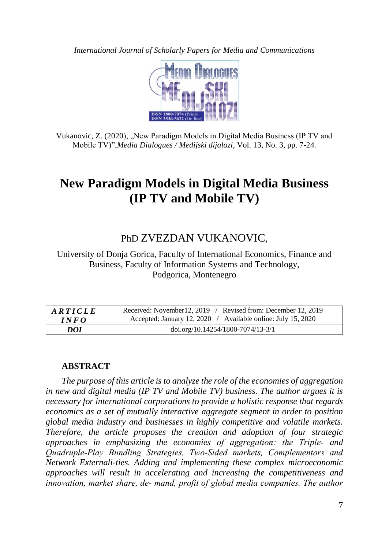*International Journal of Scholarly Papers for Media and Communications*



Vukanovic, Z. (2020), "New Paradigm Models in Digital Media Business (IP TV and Mobile TV)",*Media Dialogues / Medijski dijalozi*, Vol. 13, No. 3, pp. 7-24.

# **New Paradigm Models in Digital Media Business (IP TV and Mobile TV)**

# PhD ZVEZDAN VUKANOVIC*,*

University of Donja Gorica, Faculty of International Economics, Finance and Business, Faculty of Information Systems and Technology, Podgorica, Montenegro

| ARTICLE    | Received: November 12, 2019 / Revised from: December 12, 2019 |
|------------|---------------------------------------------------------------|
| INFO       | Accepted: January 12, 2020 / Available online: July 15, 2020  |
| <i>DOI</i> | $doi.org/10.14254/1800-7074/13-3/1$                           |

# **ABSTRACT**

*The purpose of this article is to analyze the role of the economies of aggregation in new and digital media (IP TV and Mobile TV) business. The author argues it is necessary for international corporations to provide a holistic response that regards economics as a set of mutually interactive aggregate segment in order to position global media industry and businesses in highly competitive and volatile markets. Therefore, the article proposes the creation and adoption of four strategic approaches in emphasizing the economies of aggregation: the Triple‐ and Quadruple‐Play Bundling Strategies, Two‐Sided markets, Complementors and Network Externali-ties. Adding and implementing these complex microeconomic approaches will result in accelerating and increasing the competitiveness and innovation, market share, de‐ mand, profit of global media companies. The author*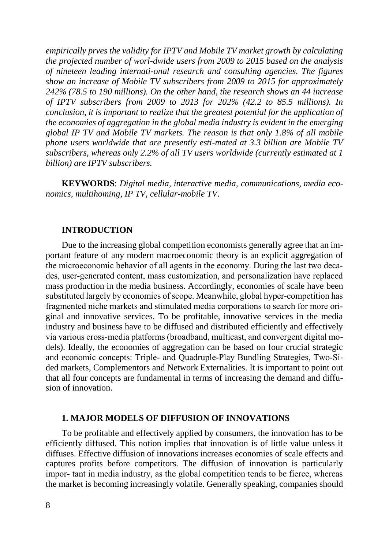*empirically prves the validity for IPTV and Mobile TV market growth by calculating the projected number of worl-dwide users from 2009 to 2015 based on the analysis of nineteen leading internati-onal research and consulting agencies. The figures show an increase of Mobile TV subscribers from 2009 to 2015 for approximately 242% (78.5 to 190 millions). On the other hand, the research shows an 44 increase of IPTV subscribers from 2009 to 2013 for 202% (42.2 to 85.5 millions). In conclusion, it is important to realize that the greatest potential for the application of the economies of aggregation in the global media industry is evident in the emerging global IP TV and Mobile TV markets. The reason is that only 1.8% of all mobile phone users worldwide that are presently esti-mated at 3.3 billion are Mobile TV subscribers, whereas only 2.2% of all TV users worldwide (currently estimated at 1 billion) are IPTV subscribers.* 

**KEYWORDS**: *Digital media, interactive media, communications, media economics, multihoming, IP TV, cellular-mobile TV*.

#### **INTRODUCTION**

Due to the increasing global competition economists generally agree that an important feature of any modern macroeconomic theory is an explicit aggregation of the microeconomic behavior of all agents in the economy. During the last two decades, user‐generated content, mass customization, and personalization have replaced mass production in the media business. Accordingly, economies of scale have been substituted largely by economies of scope. Meanwhile, global hyper-competition has fragmented niche markets and stimulated media corporations to search for more original and innovative services. To be profitable, innovative services in the media industry and business have to be diffused and distributed efficiently and effectively via various cross‐media platforms (broadband, multicast, and convergent digital models). Ideally, the economies of aggregation can be based on four crucial strategic and economic concepts: Triple‐ and Quadruple‐Play Bundling Strategies, Two‐Sided markets, Complementors and Network Externalities. It is important to point out that all four concepts are fundamental in terms of increasing the demand and diffusion of innovation.

#### **1. MAJOR MODELS OF DIFFUSION OF INNOVATIONS**

To be profitable and effectively applied by consumers, the innovation has to be efficiently diffused. This notion implies that innovation is of little value unless it diffuses. Effective diffusion of innovations increases economies of scale effects and captures profits before competitors. The diffusion of innovation is particularly impor-tant in media industry, as the global competition tends to be fierce, whereas the market is becoming increasingly volatile. Generally speaking, companies should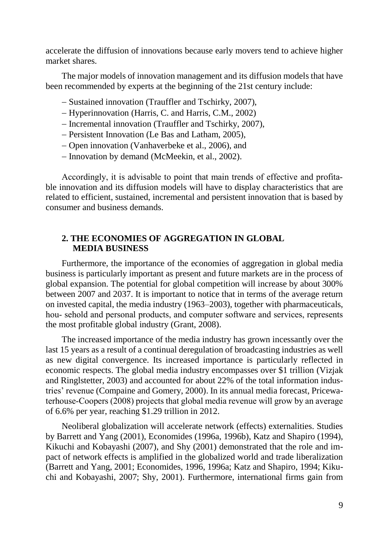accelerate the diffusion of innovations because early movers tend to achieve higher market shares.

The major models of innovation management and its diffusion models that have been recommended by experts at the beginning of the 21st century include:

- Sustained innovation (Trauffler and Tschirky, 2007),
- Hyperinnovation (Harris, C. and Harris, C.M., 2002)
- Incremental innovation (Trauffler and Tschirky, 2007),
- Persistent Innovation (Le Bas and Latham, 2005),
- Open innovation (Vanhaverbeke et al., 2006), and
- Innovation by demand (McMeekin, et al., 2002).

Accordingly, it is advisable to point that main trends of effective and profita‐ ble innovation and its diffusion models will have to display characteristics that are related to efficient, sustained, incremental and persistent innovation that is based by consumer and business demands.

### **2. THE ECONOMIES OF AGGREGATION IN GLOBAL MEDIA BUSINESS**

Furthermore, the importance of the economies of aggregation in global media business is particularly important as present and future markets are in the process of global expansion. The potential for global competition will increase by about 300% between 2007 and 2037. It is important to notice that in terms of the average return on invested capital, the media industry (1963–2003), together with pharmaceuticals, hou- sehold and personal products, and computer software and services, represents the most profitable global industry (Grant, 2008).

The increased importance of the media industry has grown incessantly over the last 15 years as a result of a continual deregulation of broadcasting industries as well as new digital convergence. Its increased importance is particularly reflected in economic respects. The global media industry encompasses over \$1 trillion (Vizjak and Ringlstetter, 2003) and accounted for about 22% of the total information industries' revenue (Compaine and Gomery, 2000). In its annual media forecast, Pricewaterhouse‐Coopers (2008) projects that global media revenue will grow by an average of 6.6% per year, reaching \$1.29 trillion in 2012.

Neoliberal globalization will accelerate network (effects) externalities. Studies by Barrett and Yang (2001), Economides (1996a, 1996b), Katz and Shapiro (1994), Kikuchi and Kobayashi (2007), and Shy (2001) demonstrated that the role and impact of network effects is amplified in the globalized world and trade liberalization (Barrett and Yang, 2001; Economides, 1996, 1996a; Katz and Shapiro, 1994; Kikuchi and Kobayashi, 2007; Shy, 2001). Furthermore, international firms gain from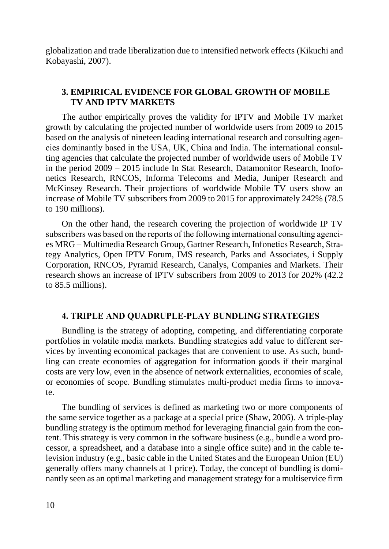globalization and trade liberalization due to intensified network effects (Kikuchi and Kobayashi, 2007).

# **3. EMPIRICAL EVIDENCE FOR GLOBAL GROWTH OF MOBILE TV AND IPTV MARKETS**

The author empirically proves the validity for IPTV and Mobile TV market growth by calculating the projected number of worldwide users from 2009 to 2015 based on the analysis of nineteen leading international research and consulting agencies dominantly based in the USA, UK, China and India. The international consul‐ ting agencies that calculate the projected number of worldwide users of Mobile TV in the period 2009 – 2015 include In Stat Research, Datamonitor Research, Inofonetics Research, RNCOS, Informa Telecoms and Media, Juniper Research and McKinsey Research. Their projections of worldwide Mobile TV users show an increase of Mobile TV subscribers from 2009 to 2015 for approximately 242% (78.5 to 190 millions).

On the other hand, the research covering the projection of worldwide IP TV subscribers was based on the reports of the following international consulting agencies MRG – Multimedia Research Group, Gartner Research, Infonetics Research, Stra‐ tegy Analytics, Open IPTV Forum, IMS research, Parks and Associates, i Supply Corporation, RNCOS, Pyramid Research, Canalys, Companies and Markets. Their research shows an increase of IPTV subscribers from 2009 to 2013 for 202% (42.2 to 85.5 millions).

# **4. TRIPLE AND QUADRUPLE‐PLAY BUNDLING STRATEGIES**

Bundling is the strategy of adopting, competing, and differentiating corporate portfolios in volatile media markets. Bundling strategies add value to different services by inventing economical packages that are convenient to use. As such, bundling can create economies of aggregation for information goods if their marginal costs are very low, even in the absence of network externalities, economies of scale, or economies of scope. Bundling stimulates multi‐product media firms to innovate.

The bundling of services is defined as marketing two or more components of the same service together as a package at a special price (Shaw, 2006). A triple‐play bundling strategy is the optimum method for leveraging financial gain from the content. This strategy is very common in the software business (e.g., bundle a word processor, a spreadsheet, and a database into a single office suite) and in the cable television industry (e.g., basic cable in the United States and the European Union (EU) generally offers many channels at 1 price). Today, the concept of bundling is dominantly seen as an optimal marketing and management strategy for a multiservice firm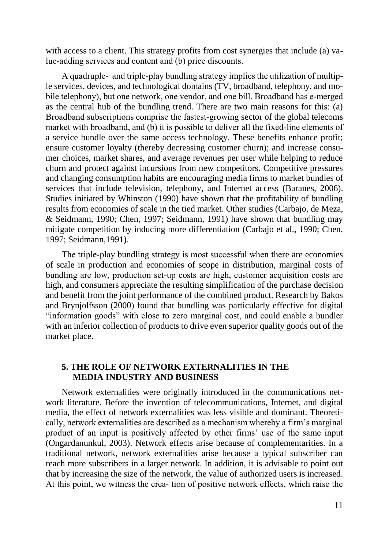with access to a client. This strategy profits from cost synergies that include (a) value‐adding services and content and (b) price discounts.

A quadruple‐ and triple‐play bundling strategy implies the utilization of multiple services, devices, and technological domains (TV, broadband, telephony, and mobile telephony), but one network, one vendor, and one bill. Broadband has e-merged as the central hub of the bundling trend. There are two main reasons for this: (a) Broadband subscriptions comprise the fastest‐growing sector of the global telecoms market with broadband, and (b) it is possible to deliver all the fixed-line elements of a service bundle over the same access technology. These benefits enhance profit; ensure customer loyalty (thereby decreasing customer churn); and increase consumer choices, market shares, and average revenues per user while helping to reduce churn and protect against incursions from new competitors. Competitive pressures and changing consumption habits are encouraging media firms to market bundles of services that include television, telephony, and Internet access (Baranes, 2006). Studies initiated by Whinston (1990) have shown that the profitability of bundling results from economies of scale in the tied market. Other studies (Carbajo, de Meza, & Seidmann, 1990; Chen, 1997; Seidmann, 1991) have shown that bundling may mitigate competition by inducing more differentiation (Carbajo et al., 1990; Chen, 1997; Seidmann,1991).

The triple-play bundling strategy is most successful when there are economies of scale in production and economies of scope in distribution, marginal costs of bundling are low, production set-up costs are high, customer acquisition costs are high, and consumers appreciate the resulting simplification of the purchase decision and benefit from the joint performance of the combined product. Research by Bakos and Brynjolfsson (2000) found that bundling was particularly effective for digital "information goods" with close to zero marginal cost, and could enable a bundler with an inferior collection of products to drive even superior quality goods out of the market place.

# **5. THE ROLE OF NETWORK EXTERNALITIES IN THE MEDIA INDUSTRY AND BUSINESS**

Network externalities were originally introduced in the communications network literature. Before the invention of telecommunications, Internet, and digital media, the effect of network externalities was less visible and dominant. Theoretically, network externalities are described as a mechanism whereby a firm's marginal product of an input is positively affected by other firms' use of the same input (Ongardanunkul, 2003). Network effects arise because of complementarities. In a traditional network, network externalities arise because a typical subscriber can reach more subscribers in a larger network. In addition, it is advisable to point out that by increasing the size of the network, the value of authorized users is increased. At this point, we witness the crea‐ tion of positive network effects, which raise the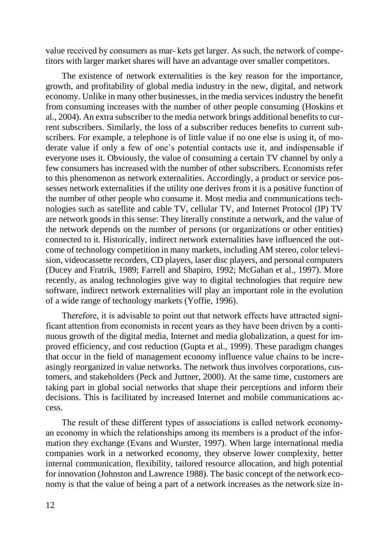value received by consumers as mar‐ kets get larger. As such, the network of competitors with larger market shares will have an advantage over smaller competitors.

The existence of network externalities is the key reason for the importance, growth, and profitability of global media industry in the new, digital, and network economy. Unlike in many other businesses, in the media services industry the benefit from consuming increases with the number of other people consuming (Hoskins et al., 2004). An extra subscriber to the media network brings additional benefits to current subscribers. Similarly, the loss of a subscriber reduces benefits to current subscribers. For example, a telephone is of little value if no one else is using it, of moderate value if only a few of one's potential contacts use it, and indispensable if everyone uses it. Obviously, the value of consuming a certain TV channel by only a few consumers has increased with the number of other subscribers. Economists refer to this phenomenon as network externalities. Accordingly, a product or service possesses network externalities if the utility one derives from it is a positive function of the number of other people who consume it. Most media and communications technologies such as satellite and cable TV, cellular TV, and Internet Protocol (IP) TV are network goods in this sense: They literally constitute a network, and the value of the network depends on the number of persons (or organizations or other entities) connected to it. Historically, indirect network externalities have influenced the outcome of technology competition in many markets, including AM stereo, color television, videocassette recorders, CD players, laser disc players, and personal computers (Ducey and Fratrik, 1989; Farrell and Shapiro, 1992; McGahan et al., 1997). More recently, as analog technologies give way to digital technologies that require new software, indirect network externalities will play an important role in the evolution of a wide range of technology markets (Yoffie, 1996).

Therefore, it is advisable to point out that network effects have attracted significant attention from economists in recent years as they have been driven by a continuous growth of the digital media, Internet and media globalization, a quest for improved efficiency, and cost reduction (Gupta et al., 1999). These paradigm changes that occur in the field of management economy influence value chains to be increasingly reorganized in value networks. The network thus involves corporations, customers, and stakeholders (Peck and Juttner, 2000). At the same time, customers are taking part in global social networks that shape their perceptions and inform their decisions. This is facilitated by increased Internet and mobile communications access.

The result of these different types of associations is called network economyan economy in which the relationships among its members is a product of the information they exchange (Evans and Wurster, 1997). When large international media companies work in a networked economy, they observe lower complexity, better internal communication, flexibility, tailored resource allocation, and high potential for innovation (Johnston and Lawrence 1988). The basic concept of the network economy is that the value of being a part of a network increases as the network size in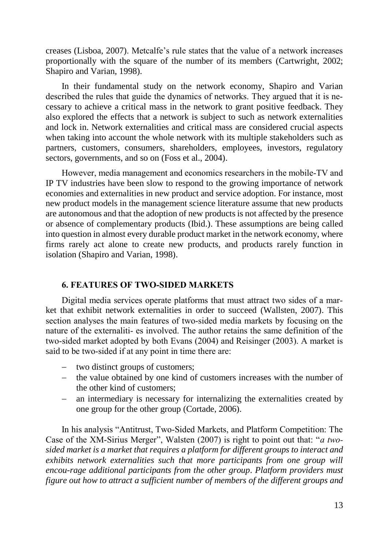creases (Lisboa, 2007). Metcalfe's rule states that the value of a network increases proportionally with the square of the number of its members (Cartwright, 2002; Shapiro and Varian, 1998).

In their fundamental study on the network economy, Shapiro and Varian described the rules that guide the dynamics of networks. They argued that it is necessary to achieve a critical mass in the network to grant positive feedback. They also explored the effects that a network is subject to such as network externalities and lock in. Network externalities and critical mass are considered crucial aspects when taking into account the whole network with its multiple stakeholders such as partners, customers, consumers, shareholders, employees, investors, regulatory sectors, governments, and so on (Foss et al., 2004).

However, media management and economics researchers in the mobile‐TV and IP TV industries have been slow to respond to the growing importance of network economies and externalities in new product and service adoption. For instance, most new product models in the management science literature assume that new products are autonomous and that the adoption of new products is not affected by the presence or absence of complementary products (Ibid.). These assumptions are being called into question in almost every durable product market in the network economy, where firms rarely act alone to create new products, and products rarely function in isolation (Shapiro and Varian, 1998).

#### **6. FEATURES OF TWO‐SIDED MARKETS**

Digital media services operate platforms that must attract two sides of a mar‐ ket that exhibit network externalities in order to succeed (Wallsten, 2007). This section analyses the main features of two-sided media markets by focusing on the nature of the externaliti- es involved. The author retains the same definition of the two‐sided market adopted by both Evans (2004) and Reisinger (2003). A market is said to be two-sided if at any point in time there are:

- two distinct groups of customers;
- the value obtained by one kind of customers increases with the number of the other kind of customers;
- an intermediary is necessary for internalizing the externalities created by one group for the other group (Cortade, 2006).

In his analysis "Antitrust, Two‐Sided Markets, and Platform Competition: The Case of the XM‐Sirius Merger", Walsten (2007) is right to point out that: "*a two‐ sided market is a market that requires a platform for different groups to interact and*  exhibits network externalities such that more participants from one group will *encou-rage additional participants from the other group*. *Platform providers must figure out how to attract a sufficient number of members of the different groups and*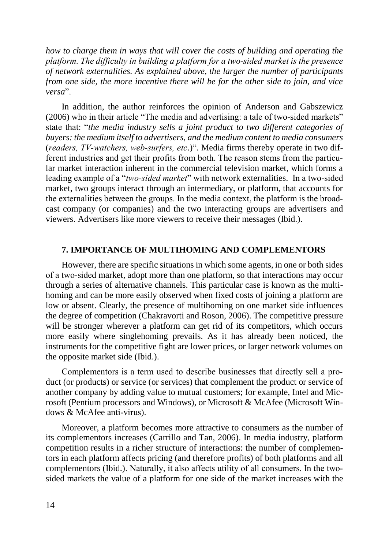*how to charge them in ways that will cover the costs of building and operating the platform. The difficulty in building a platform for a two‐sided market is the presence of network externalities. As explained above, the larger the number of participants from one side, the more incentive there will be for the other side to join, and vice versa*".

In addition, the author reinforces the opinion of Anderson and Gabszewicz (2006) who in their article "The media and advertising: a tale of two-sided markets" state that: "*the media industry sells a joint product to two different categories of buyers: the medium itself to advertisers, and the medium content to media consumers* (*readers, TV‐watchers, web‐surfers, etc*.)". Media firms thereby operate in two different industries and get their profits from both. The reason stems from the particular market interaction inherent in the commercial television market, which forms a leading example of a "*two-sided market*" with network externalities. In a two-sided market, two groups interact through an intermediary, or platform, that accounts for the externalities between the groups. In the media context, the platform is the broad‐ cast company (or companies) and the two interacting groups are advertisers and viewers. Advertisers like more viewers to receive their messages (Ibid.).

#### **7. IMPORTANCE OF MULTIHOMING AND COMPLEMENTORS**

However, there are specific situations in which some agents, in one or both sides of a two‐sided market, adopt more than one platform, so that interactions may occur through a series of alternative channels. This particular case is known as the multihoming and can be more easily observed when fixed costs of joining a platform are low or absent. Clearly, the presence of multihoming on one market side influences the degree of competition (Chakravorti and Roson, 2006). The competitive pressure will be stronger wherever a platform can get rid of its competitors, which occurs more easily where singlehoming prevails. As it has already been noticed, the instruments for the competitive fight are lower prices, or larger network volumes on the opposite market side (Ibid.).

Complementors is a term used to describe businesses that directly sell a pro‐ duct (or products) or service (or services) that complement the product or service of another company by adding value to mutual customers; for example, Intel and Microsoft (Pentium processors and Windows), or Microsoft & McAfee (Microsoft Windows & McAfee anti‐virus).

Moreover, a platform becomes more attractive to consumers as the number of its complementors increases (Carrillo and Tan, 2006). In media industry, platform competition results in a richer structure of interactions: the number of complementors in each platform affects pricing (and therefore profits) of both platforms and all complementors (Ibid.). Naturally, it also affects utility of all consumers. In the twosided markets the value of a platform for one side of the market increases with the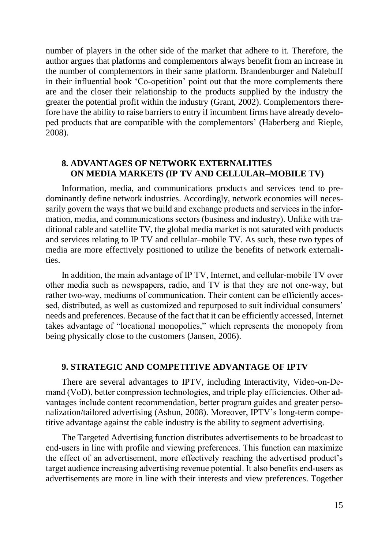number of players in the other side of the market that adhere to it. Therefore, the author argues that platforms and complementors always benefit from an increase in the number of complementors in their same platform. Brandenburger and Nalebuff in their influential book 'Co-opetition' point out that the more complements there are and the closer their relationship to the products supplied by the industry the greater the potential profit within the industry (Grant, 2002). Complementors therefore have the ability to raise barriers to entry if incumbent firms have already developed products that are compatible with the complementors' (Haberberg and Rieple, 2008).

# **8. ADVANTAGES OF NETWORK EXTERNALITIES ON MEDIA MARKETS (IP TV AND CELLULAR–MOBILE TV)**

Information, media, and communications products and services tend to predominantly define network industries. Accordingly, network economies will necessarily govern the ways that we build and exchange products and services in the information, media, and communications sectors (business and industry). Unlike with traditional cable and satellite TV, the global media market is not saturated with products and services relating to IP TV and cellular–mobile TV. As such, these two types of media are more effectively positioned to utilize the benefits of network externalities.

In addition, the main advantage of IP TV, Internet, and cellular-mobile TV over other media such as newspapers, radio, and TV is that they are not one‐way, but rather two-way, mediums of communication. Their content can be efficiently accessed, distributed, as well as customized and repurposed to suit individual consumers' needs and preferences. Because of the fact that it can be efficiently accessed, Internet takes advantage of "locational monopolies," which represents the monopoly from being physically close to the customers (Jansen, 2006).

#### **9. STRATEGIC AND COMPETITIVE ADVANTAGE OF IPTV**

There are several advantages to IPTV, including Interactivity, Video-on-Demand (VoD), better compression technologies, and triple play efficiencies. Other advantages include content recommendation, better program guides and greater personalization/tailored advertising (Ashun, 2008). Moreover, IPTV's long-term competitive advantage against the cable industry is the ability to segment advertising.

The Targeted Advertising function distributes advertisements to be broadcast to end‐users in line with profile and viewing preferences. This function can maximize the effect of an advertisement, more effectively reaching the advertised product's target audience increasing advertising revenue potential. It also benefits end-users as advertisements are more in line with their interests and view preferences. Together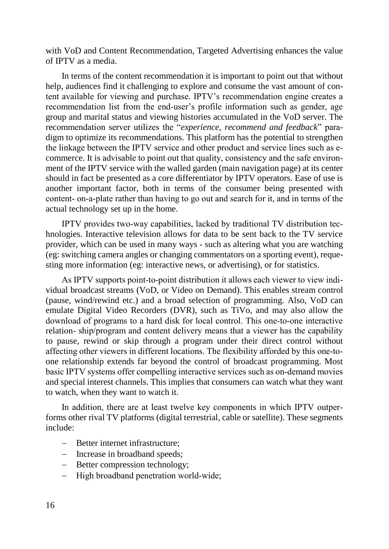with VoD and Content Recommendation, Targeted Advertising enhances the value of IPTV as a media.

In terms of the content recommendation it is important to point out that without help, audiences find it challenging to explore and consume the vast amount of content available for viewing and purchase. IPTV's recommendation engine creates a recommendation list from the end-user's profile information such as gender, age group and marital status and viewing histories accumulated in the VoD server. The recommendation server utilizes the "*experience, recommend and feedback*" paradigm to optimize its recommendations. This platform has the potential to strengthen the linkage between the IPTV service and other product and service lines such as e‐ commerce. It is advisable to point out that quality, consistency and the safe environment of the IPTV service with the walled garden (main navigation page) at its center should in fact be presented as a core differentiator by IPTV operators. Ease of use is another important factor, both in terms of the consumer being presented with content‐ on‐a‐plate rather than having to go out and search for it, and in terms of the actual technology set up in the home.

IPTV provides two‐way capabilities, lacked by traditional TV distribution tec‐ hnologies. Interactive television allows for data to be sent back to the TV service provider, which can be used in many ways ‐ such as altering what you are watching (eg: switching camera angles or changing commentators on a sporting event), requesting more information (eg: interactive news, or advertising), or for statistics.

As IPTV supports point-to-point distribution it allows each viewer to view individual broadcast streams (VoD, or Video on Demand). This enables stream control (pause, wind/rewind etc.) and a broad selection of programming. Also, VoD can emulate Digital Video Recorders (DVR), such as TiVo, and may also allow the download of programs to a hard disk for local control. This one‐to‐one interactive relation‐ ship/program and content delivery means that a viewer has the capability to pause, rewind or skip through a program under their direct control without affecting other viewers in different locations. The flexibility afforded by this one‐to‐ one relationship extends far beyond the control of broadcast programming. Most basic IPTV systems offer compelling interactive services such as on‐demand movies and special interest channels. This implies that consumers can watch what they want to watch, when they want to watch it.

In addition, there are at least twelve key components in which IPTV outper‐ forms other rival TV platforms (digital terrestrial, cable or satellite). These segments include:

- Better internet infrastructure;
- Increase in broadband speeds;
- Better compression technology;
- High broadband penetration world-wide;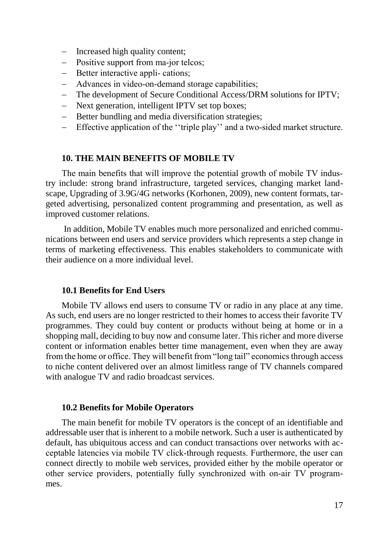- Increased high quality content;
- Positive support from ma-jor telcos;
- Better interactive appli-cations;
- Advances in video-on-demand storage capabilities;
- The development of Secure Conditional Access/DRM solutions for IPTV;
- Next generation, intelligent IPTV set top boxes;
- Better bundling and media diversification strategies;
- Effective application of the ''triple play'' and a two‐sided market structure.

#### **10. THE MAIN BENEFITS OF MOBILE TV**

The main benefits that will improve the potential growth of mobile TV industry include: strong brand infrastructure, targeted services, changing market landscape, Upgrading of 3.9G/4G networks (Korhonen, 2009), new content formats, targeted advertising, personalized content programming and presentation, as well as improved customer relations.

In addition, Mobile TV enables much more personalized and enriched communications between end users and service providers which represents a step change in terms of marketing effectiveness. This enables stakeholders to communicate with their audience on a more individual level.

#### **10.1 Benefits for End Users**

Mobile TV allows end users to consume TV or radio in any place at any time. As such, end users are no longer restricted to their homes to access their favorite TV programmes. They could buy content or products without being at home or in a shopping mall, deciding to buy now and consume later. This richer and more diverse content or information enables better time management, even when they are away from the home or office. They will benefit from "long tail" economics through access to niche content delivered over an almost limitless range of TV channels compared with analogue TV and radio broadcast services.

#### **10.2 Benefits for Mobile Operators**

The main benefit for mobile TV operators is the concept of an identifiable and addressable user that is inherent to a mobile network. Such a user is authenticated by default, has ubiquitous access and can conduct transactions over networks with acceptable latencies via mobile TV click‐through requests. Furthermore, the user can connect directly to mobile web services, provided either by the mobile operator or other service providers, potentially fully synchronized with on‐air TV programmes.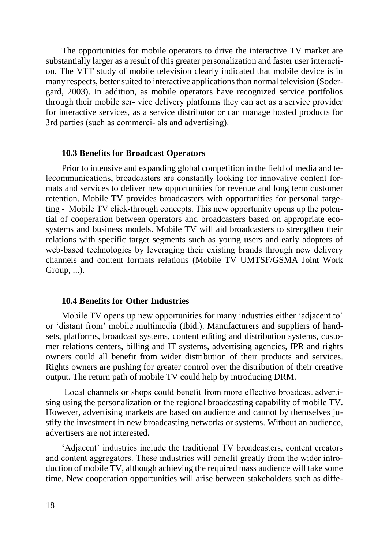The opportunities for mobile operators to drive the interactive TV market are substantially larger as a result of this greater personalization and faster user interacti‐ on. The VTT study of mobile television clearly indicated that mobile device is in many respects, better suited to interactive applications than normal television (Sodergard, 2003). In addition, as mobile operators have recognized service portfolios through their mobile ser‐ vice delivery platforms they can act as a service provider for interactive services, as a service distributor or can manage hosted products for 3rd parties (such as commerci‐ als and advertising).

#### **10.3 Benefits for Broadcast Operators**

Prior to intensive and expanding global competition in the field of media and telecommunications, broadcasters are constantly looking for innovative content for‐ mats and services to deliver new opportunities for revenue and long term customer retention. Mobile TV provides broadcasters with opportunities for personal targeting - Mobile TV click-through concepts. This new opportunity opens up the potential of cooperation between operators and broadcasters based on appropriate ecosystems and business models. Mobile TV will aid broadcasters to strengthen their relations with specific target segments such as young users and early adopters of web-based technologies by leveraging their existing brands through new delivery channels and content formats relations (Mobile TV UMTSF/GSMA Joint Work Group, ...).

#### **10.4 Benefits for Other Industries**

Mobile TV opens up new opportunities for many industries either 'adjacent to' or 'distant from' mobile multimedia (Ibid.). Manufacturers and suppliers of handsets, platforms, broadcast systems, content editing and distribution systems, customer relations centers, billing and IT systems, advertising agencies, IPR and rights owners could all benefit from wider distribution of their products and services. Rights owners are pushing for greater control over the distribution of their creative output. The return path of mobile TV could help by introducing DRM.

Local channels or shops could benefit from more effective broadcast adverti‐ sing using the personalization or the regional broadcasting capability of mobile TV. However, advertising markets are based on audience and cannot by themselves justify the investment in new broadcasting networks or systems. Without an audience, advertisers are not interested.

'Adjacent' industries include the traditional TV broadcasters, content creators and content aggregators. These industries will benefit greatly from the wider introduction of mobile TV, although achieving the required mass audience will take some time. New cooperation opportunities will arise between stakeholders such as diffe-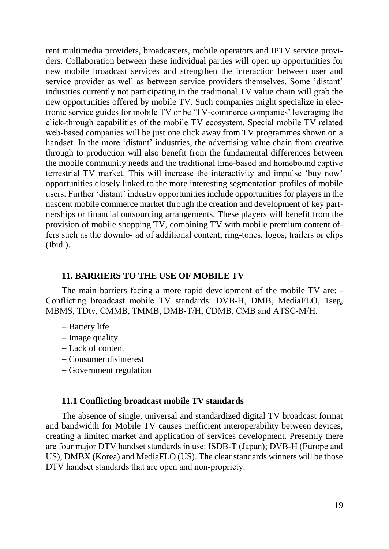rent multimedia providers, broadcasters, mobile operators and IPTV service providers. Collaboration between these individual parties will open up opportunities for new mobile broadcast services and strengthen the interaction between user and service provider as well as between service providers themselves. Some 'distant' industries currently not participating in the traditional TV value chain will grab the new opportunities offered by mobile TV. Such companies might specialize in electronic service guides for mobile TV or be 'TV‐commerce companies' leveraging the click‐through capabilities of the mobile TV ecosystem. Special mobile TV related web-based companies will be just one click away from TV programmes shown on a handset. In the more 'distant' industries, the advertising value chain from creative through to production will also benefit from the fundamental differences between the mobile community needs and the traditional time‐based and homebound captive terrestrial TV market. This will increase the interactivity and impulse 'buy now' opportunities closely linked to the more interesting segmentation profiles of mobile users. Further 'distant' industry opportunities include opportunities for players in the nascent mobile commerce market through the creation and development of key partnerships or financial outsourcing arrangements. These players will benefit from the provision of mobile shopping TV, combining TV with mobile premium content offers such as the downlo‐ ad of additional content, ring‐tones, logos, trailers or clips (Ibid.).

#### **11. BARRIERS TO THE USE OF MOBILE TV**

The main barriers facing a more rapid development of the mobile TV are: - Conflicting broadcast mobile TV standards: DVB‐H, DMB, MediaFLO, 1seg, MBMS, TDtv, CMMB, TMMB, DMB‐T/H, CDMB, CMB and ATSC‐M/H.

- Battery life
- $-$  Image quality
- Lack of content
- Consumer disinterest
- Government regulation

#### **11.1 Conflicting broadcast mobile TV standards**

The absence of single, universal and standardized digital TV broadcast format and bandwidth for Mobile TV causes inefficient interoperability between devices, creating a limited market and application of services development. Presently there are four major DTV handset standards in use: ISDB‐T (Japan); DVB‐H (Europe and US), DMBX (Korea) and MediaFLO (US). The clear standards winners will be those DTV handset standards that are open and non-propriety.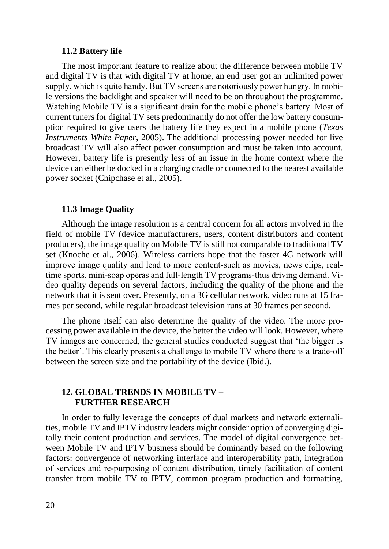#### **11.2 Battery life**

The most important feature to realize about the difference between mobile TV and digital TV is that with digital TV at home, an end user got an unlimited power supply, which is quite handy. But TV screens are notoriously power hungry. In mobile versions the backlight and speaker will need to be on throughout the programme. Watching Mobile TV is a significant drain for the mobile phone's battery. Most of current tuners for digital TV sets predominantly do not offer the low battery consumption required to give users the battery life they expect in a mobile phone (*Texas Instruments White Paper*, 2005). The additional processing power needed for live broadcast TV will also affect power consumption and must be taken into account. However, battery life is presently less of an issue in the home context where the device can either be docked in a charging cradle or connected to the nearest available power socket (Chipchase et al., 2005).

#### **11.3 Image Quality**

Although the image resolution is a central concern for all actors involved in the field of mobile TV (device manufacturers, users, content distributors and content producers), the image quality on Mobile TV is still not comparable to traditional TV set (Knoche et al., 2006). Wireless carriers hope that the faster 4G network will improve image quality and lead to more content–such as movies, news clips, real– time sports, mini-soap operas and full-length TV programs-thus driving demand. Video quality depends on several factors, including the quality of the phone and the network that it is sent over. Presently, on a 3G cellular network, video runs at 15 frames per second, while regular broadcast television runs at 30 frames per second.

The phone itself can also determine the quality of the video. The more processing power available in the device, the better the video will look. However, where TV images are concerned, the general studies conducted suggest that 'the bigger is the better'. This clearly presents a challenge to mobile TV where there is a trade‐off between the screen size and the portability of the device (Ibid.).

#### **12. GLOBAL TRENDS IN MOBILE TV – FURTHER RESEARCH**

In order to fully leverage the concepts of dual markets and network externali‐ ties, mobile TV and IPTV industry leaders might consider option of converging digitally their content production and services. The model of digital convergence between Mobile TV and IPTV business should be dominantly based on the following factors: convergence of networking interface and interoperability path, integration of services and re‐purposing of content distribution, timely facilitation of content transfer from mobile TV to IPTV, common program production and formatting,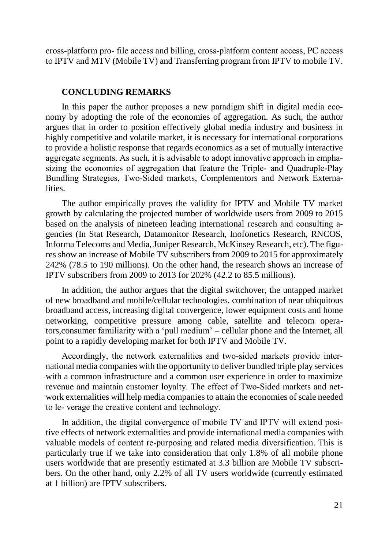cross‐platform pro‐ file access and billing, cross‐platform content access, PC access to IPTV and MTV (Mobile TV) and Transferring program from IPTV to mobile TV.

#### **CONCLUDING REMARKS**

In this paper the author proposes a new paradigm shift in digital media economy by adopting the role of the economies of aggregation. As such, the author argues that in order to position effectively global media industry and business in highly competitive and volatile market, it is necessary for international corporations to provide a holistic response that regards economics as a set of mutually interactive aggregate segments. As such, it is advisable to adopt innovative approach in emphasizing the economies of aggregation that feature the Triple‐ and Quadruple‐Play Bundling Strategies, Two‐Sided markets, Complementors and Network Externalities.

The author empirically proves the validity for IPTV and Mobile TV market growth by calculating the projected number of worldwide users from 2009 to 2015 based on the analysis of nineteen leading international research and consulting agencies (In Stat Research, Datamonitor Research, Inofonetics Research, RNCOS, Informa Telecoms and Media, Juniper Research, McKinsey Research, etc). The figures show an increase of Mobile TV subscribers from 2009 to 2015 for approximately 242% (78.5 to 190 millions). On the other hand, the research shows an increase of IPTV subscribers from 2009 to 2013 for 202% (42.2 to 85.5 millions).

In addition, the author argues that the digital switchover, the untapped market of new broadband and mobile/cellular technologies, combination of near ubiquitous broadband access, increasing digital convergence, lower equipment costs and home networking, competitive pressure among cable, satellite and telecom operators,consumer familiarity with a 'pull medium' – cellular phone and the Internet, all point to a rapidly developing market for both IPTV and Mobile TV.

Accordingly, the network externalities and two‐sided markets provide inter‐ national media companies with the opportunity to deliver bundled triple play services with a common infrastructure and a common user experience in order to maximize revenue and maintain customer loyalty. The effect of Two‐Sided markets and network externalities will help media companies to attain the economies of scale needed to le‐ verage the creative content and technology.

In addition, the digital convergence of mobile TV and IPTV will extend positive effects of network externalities and provide international media companies with valuable models of content re-purposing and related media diversification. This is particularly true if we take into consideration that only 1.8% of all mobile phone users worldwide that are presently estimated at 3.3 billion are Mobile TV subscribers. On the other hand, only 2.2% of all TV users worldwide (currently estimated at 1 billion) are IPTV subscribers.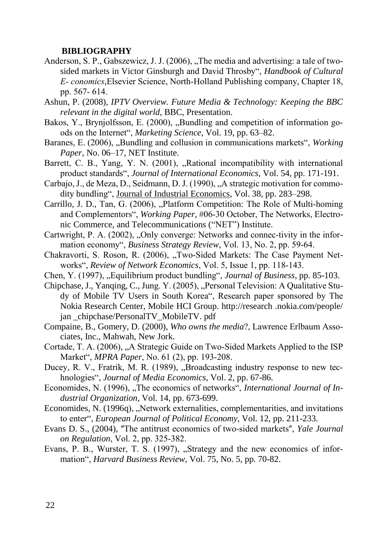#### **BIBLIOGRAPHY**

- Anderson, S. P., Gabszewicz, J. J.  $(2006)$ , The media and advertising: a tale of twosided markets in Victor Ginsburgh and David Throsby", *Handbook of Cultural E‐ conomics*,Elsevier Science, North‐Holland Publishing company, Chapter 18, pp. 567‐ 614.
- Ashun, P. (2008), *IPTV Overview. Future Media & Technology: Keeping the BBC relevant in the digital world*, BBC, Presentation.
- Bakos, Y., Brynjolfsson, E. (2000), "Bundling and competition of information goods on the Internet", *Marketing Science*, Vol. 19, pp. 63–82.
- Baranes, E. (2006), "Bundling and collusion in communications markets", *Working Paper*, No. 06–17, NET Institute.
- Barrett, C. B., Yang, Y. N. (2001), "Rational incompatibility with international product standards", *Journal of International Economics*, Vol. 54, pp. 171-191.
- Carbajo, J., de Meza, D., Seidmann, D. J. (1990), "A strategic motivation for commodity bundling", Journal of Industrial Economics, Vol. 38, pp. 283–298.
- Carrillo, J. D., Tan, G. (2006), "Platform Competition: The Role of Multi-homing and Complementors", *Working Paper,* #06‐30 October, The Networks, Electronic Commerce, and Telecommunications ("NET") Institute.
- Cartwright, P. A.  $(2002)$ , "Only converge: Networks and connec-tivity in the information economy", *Business Strategy Review*, Vol. 13, No. 2, pp. 59‐64.
- Chakravorti, S. Roson, R. (2006), "Two-Sided Markets: The Case Payment Networks", *Review of Network Economics*, Vol. 5, Issue 1, pp. 118‐143.
- Chen, Y. (1997), "Equilibrium product bundling", *Journal of Business*, pp. 85-103.
- Chipchase, J., Yanqing, C., Jung. Y. (2005), "Personal Television: A Qualitative Study of Mobile TV Users in South Korea", Research paper sponsored by The Nokia Research Center, Mobile HCI Group. http://research .nokia.com/people/ jan chipchase/PersonalTV MobileTV. pdf
- Compaine, B., Gomery, D. (2000), *Who owns the media*?, Lawrence Erlbaum Associates, Inc., Mahwah, New Jork.
- Cortade, T. A. (2006), "A Strategic Guide on Two-Sided Markets Applied to the ISP Market", *MPRA Paper*, No. 61 (2), pp. 193‐208.
- Ducey, R. V., Fratrik, M. R. (1989), "Broadcasting industry response to new technologies", *Journal of Media Economics*, Vol. 2, pp. 67-86.
- Economides, N. (1996), "The economics of networks", *International Journal of Industrial Organization*, Vol. 14, pp. 673-699.
- Economides, N. (1996q), "Network externalities, complementarities, and invitations to enter", *European Journal of Political Economy*, Vol. 12, pp. 211-233.
- Evans D. S., (2004), "The antitrust economics of two-sided markets", *Yale Journal on Regulation*, Vol. 2, pp. 325‐382.
- Evans, P. B., Wurster, T. S. (1997), "Strategy and the new economics of information", *Harvard Business Review*, Vol. 75, No. 5, pp. 70-82.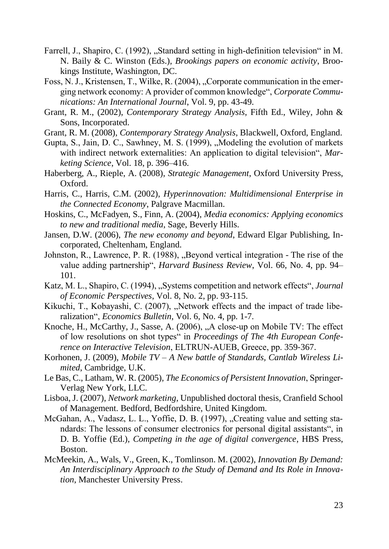- Farrell, J., Shapiro, C. (1992), "Standard setting in high-definition television" in M. N. Baily & C. Winston (Eds.), *Brookings papers on economic activity*, Brookings Institute, Washington, DC.
- Foss, N. J., Kristensen, T., Wilke, R. (2004), "Corporate communication in the emerging network economy: A provider of common knowledge", *Corporate Communications: An International Journal*, Vol. 9, pp. 43-49.
- Grant, R. M., (2002), *Contemporary Strategy Analysis*, Fifth Ed., Wiley, John & Sons, Incorporated.
- Grant, R. M. (2008), *Contemporary Strategy Analysis*, Blackwell, Oxford, England.
- Gupta, S., Jain, D. C., Sawhney, M. S. (1999), "Modeling the evolution of markets with indirect network externalities: An application to digital television", *Marketing Science*, Vol. 18, p. 396–416.
- Haberberg, A., Rieple, A. (2008), *Strategic Management*, Oxford University Press, Oxford.
- Harris, C., Harris, C.M. (2002), *Hyperinnovation: Multidimensional Enterprise in the Connected Economy*, Palgrave Macmillan.
- Hoskins, C., McFadyen, S., Finn, A. (2004), *Media economics: Applying economics to new and traditional media*, Sage, Beverly Hills.
- Jansen, D.W. (2006), *The new economy and beyond*, Edward Elgar Publishing, Incorporated, Cheltenham, England.
- Johnston, R., Lawrence, P. R. (1988), "Beyond vertical integration The rise of the value adding partnership", *Harvard Business Review*, Vol. 66, No. 4, pp. 94– 101.
- Katz, M. L., Shapiro, C. (1994), "Systems competition and network effects", *Journal of Economic Perspectives*, Vol. 8, No. 2, pp. 93-115.
- Kikuchi, T., Kobayashi, C. (2007), "Network effects and the impact of trade liberalization", *Economics Bulletin*, Vol. 6, No. 4, pp. 1-7.
- Knoche, H., McCarthy, J., Sasse, A. (2006), "A close-up on Mobile TV: The effect of low resolutions on shot types" in *Proceedings of The 4th European Conference on Interactive Television*, ELTRUN‐AUEB, Greece, pp. 359‐367.
- Korhonen, J. (2009), *Mobile TV – A New battle of Standards, Cantlab Wireless Limited*, Cambridge, U.K.
- Le Bas, C., Latham, W. R. (2005), *The Economics of Persistent Innovation*, Springer‐ Verlag New York, LLC.
- Lisboa, J. (2007), *Network marketing*, Unpublished doctoral thesis, Cranfield School of Management. Bedford, Bedfordshire, United Kingdom.
- McGahan, A., Vadasz, L. L., Yoffie, D. B. (1997), "Creating value and setting standards: The lessons of consumer electronics for personal digital assistants", in D. B. Yoffie (Ed.), *Competing in the age of digital convergence*, HBS Press, Boston.
- McMeekin, A., Wals, V., Green, K., Tomlinson. M. (2002), *Innovation By Demand: An Interdisciplinary Approach to the Study of Demand and Its Role in Innovation*, Manchester University Press.